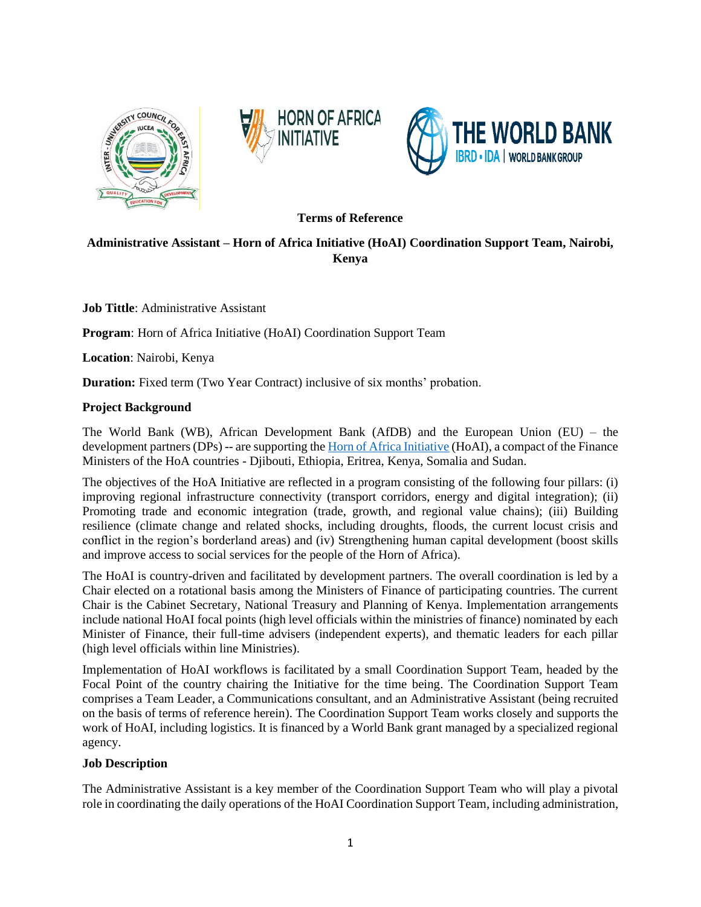





#### **Terms of Reference**

# **Administrative Assistant – Horn of Africa Initiative (HoAI) Coordination Support Team, Nairobi, Kenya**

**Job Tittle**: Administrative Assistant

**Program:** Horn of Africa Initiative (HoAI) Coordination Support Team

**Location**: Nairobi, Kenya

**Duration:** Fixed term (Two Year Contract) inclusive of six months' probation.

#### **Project Background**

The World Bank (WB), African Development Bank (AfDB) and the European Union (EU) – the development partners (DPs) -- are supporting th[e Horn of Africa Initiative](https://hoainitiative.org/wp-content/uploads/2021/03/HoAI-Project-Profiles.pdf) (HoAI), a compact of the Finance Ministers of the HoA countries - Djibouti, Ethiopia, Eritrea, Kenya, Somalia and Sudan.

The objectives of the HoA Initiative are reflected in a program consisting of the following four pillars: (i) improving regional infrastructure connectivity (transport corridors, energy and digital integration); (ii) Promoting trade and economic integration (trade, growth, and regional value chains); (iii) Building resilience (climate change and related shocks, including droughts, floods, the current locust crisis and conflict in the region's borderland areas) and (iv) Strengthening human capital development (boost skills and improve access to social services for the people of the Horn of Africa).

The HoAI is country-driven and facilitated by development partners. The overall coordination is led by a Chair elected on a rotational basis among the Ministers of Finance of participating countries. The current Chair is the Cabinet Secretary, National Treasury and Planning of Kenya. Implementation arrangements include national HoAI focal points (high level officials within the ministries of finance) nominated by each Minister of Finance, their full-time advisers (independent experts), and thematic leaders for each pillar (high level officials within line Ministries).

Implementation of HoAI workflows is facilitated by a small Coordination Support Team, headed by the Focal Point of the country chairing the Initiative for the time being. The Coordination Support Team comprises a Team Leader, a Communications consultant, and an Administrative Assistant (being recruited on the basis of terms of reference herein). The Coordination Support Team works closely and supports the work of HoAI, including logistics. It is financed by a World Bank grant managed by a specialized regional agency.

#### **Job Description**

The Administrative Assistant is a key member of the Coordination Support Team who will play a pivotal role in coordinating the daily operations of the HoAI Coordination Support Team, including administration,